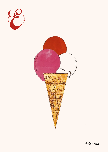